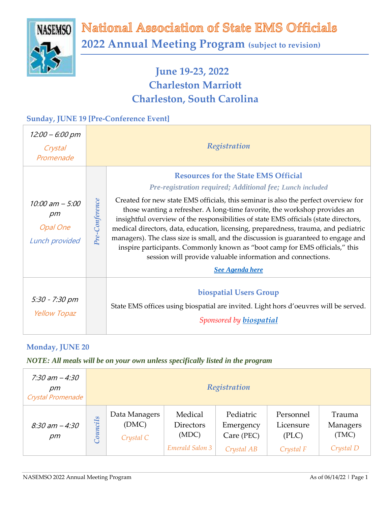

National Association of State EMS Officials **2022 Annual Meeting Program (subject to revision)**

# **June 19-23, 2022 Charleston Marriott Charleston, South Carolina**

### **Sunday, JUNE 19 [Pre-Conference Event]**

| 12:00 – 6:00 pm<br>Crystal<br>Promenade                          |                | Registration                                                                                                                                                                                                                                                                                                                                                                                                                                                                                                                                                                                                                                                                                                                  |
|------------------------------------------------------------------|----------------|-------------------------------------------------------------------------------------------------------------------------------------------------------------------------------------------------------------------------------------------------------------------------------------------------------------------------------------------------------------------------------------------------------------------------------------------------------------------------------------------------------------------------------------------------------------------------------------------------------------------------------------------------------------------------------------------------------------------------------|
| 10:00 am - 5:00<br>$\rho m$<br><b>Opal One</b><br>Lunch provided | Pre-Conference | <b>Resources for the State EMS Official</b><br><b>Pre-registration required; Additional fee; Lunch included</b><br>Created for new state EMS officials, this seminar is also the perfect overview for<br>those wanting a refresher. A long-time favorite, the workshop provides an<br>insightful overview of the responsibilities of state EMS officials (state directors,<br>medical directors, data, education, licensing, preparedness, trauma, and pediatric<br>managers). The class size is small, and the discussion is guaranteed to engage and<br>inspire participants. Commonly known as "boot camp for EMS officials," this<br>session will provide valuable information and connections.<br><b>See Agenda here</b> |
| 5:30 - 7:30 pm<br><b>Yellow Topaz</b>                            |                | biospatial Users Group<br>State EMS offices using biospatial are invited. Light hors d'oeuvres will be served.<br>Sponsored by biospatial                                                                                                                                                                                                                                                                                                                                                                                                                                                                                                                                                                                     |

### **Monday, JUNE 20**

| 7:30 am - 4:30<br>pm<br>Crystal Promenade |                          | Registration                        |                                                         |                                                    |                                              |                                          |
|-------------------------------------------|--------------------------|-------------------------------------|---------------------------------------------------------|----------------------------------------------------|----------------------------------------------|------------------------------------------|
| $8:30 \text{ am} - 4:30$<br>$\rho m$      | S<br>$\ddot{u}$<br>Counc | Data Managers<br>(DMC)<br>Crystal C | Medical<br><b>Directors</b><br>(MDC)<br>Emerald Salon 3 | Pediatric<br>Emergency<br>Care (PEC)<br>Crystal AB | Personnel<br>Licensure<br>(PLC)<br>Crystal F | Trauma<br>Managers<br>(TMC)<br>Crystal D |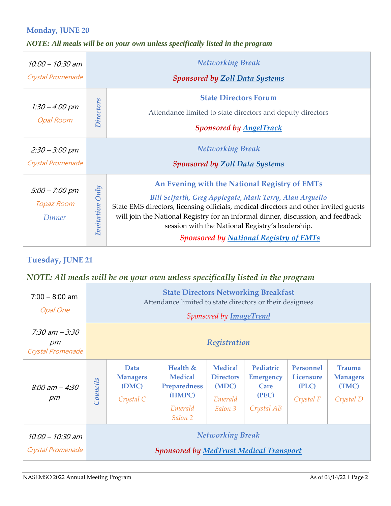#### **Monday, JUNE 20**

### *NOTE: All meals will be on your own unless specifically listed in the program*

| 10:00 - 10:30 am<br>Crystal Promenade                   |                  | <b>Networking Break</b>                                                                                                                                                                                                                                                                                                                                                                    |  |  |  |  |
|---------------------------------------------------------|------------------|--------------------------------------------------------------------------------------------------------------------------------------------------------------------------------------------------------------------------------------------------------------------------------------------------------------------------------------------------------------------------------------------|--|--|--|--|
|                                                         |                  | <b>Sponsored by Zoll Data Systems</b>                                                                                                                                                                                                                                                                                                                                                      |  |  |  |  |
| $1:30 - 4:00 \text{ pm}$<br><b>Opal Room</b>            | <b>Directors</b> | <b>State Directors Forum</b><br>Attendance limited to state directors and deputy directors<br><b>Sponsored by AngelTrack</b>                                                                                                                                                                                                                                                               |  |  |  |  |
| $2:30 - 3:00$ pm<br>Crystal Promenade                   |                  | <b>Networking Break</b><br><b>Sponsored by Zoll Data Systems</b>                                                                                                                                                                                                                                                                                                                           |  |  |  |  |
| $5:00 - 7:00 \text{ pm}$<br><b>Topaz Room</b><br>Dinner | Invitation Only  | An Evening with the National Registry of EMTs<br>Bill Seifarth, Greg Applegate, Mark Terry, Alan Arguello<br>State EMS directors, licensing officials, medical directors and other invited guests<br>will join the National Registry for an informal dinner, discussion, and feedback<br>session with the National Registry's leadership.<br><b>Sponsored by National Registry of EMTs</b> |  |  |  |  |

#### **Tuesday, JUNE 21**

| $7:00 - 8:00$ am<br>Opal One                 |                                                                           | <b>State Directors Networking Breakfast</b><br>Attendance limited to state directors or their designees<br>Sponsored by ImageTrend |                                                                                     |                                                                   |                                                              |                                                     |                                                        |
|----------------------------------------------|---------------------------------------------------------------------------|------------------------------------------------------------------------------------------------------------------------------------|-------------------------------------------------------------------------------------|-------------------------------------------------------------------|--------------------------------------------------------------|-----------------------------------------------------|--------------------------------------------------------|
| $7:30$ am $-3:30$<br>pm<br>Crystal Promenade |                                                                           | Registration                                                                                                                       |                                                                                     |                                                                   |                                                              |                                                     |                                                        |
| $8:00 \text{ am} - 4:30$<br>$\rho m$         | <b>Councils</b>                                                           | Data<br><b>Managers</b><br>(DMC)<br>Crystal C                                                                                      | Health $&$<br><b>Medical</b><br><b>Preparedness</b><br>(HMPC)<br>Emerald<br>Salon 2 | <b>Medical</b><br><b>Directors</b><br>(MDC)<br>Emerald<br>Salon 3 | Pediatric<br><b>Emergency</b><br>Care<br>(PEC)<br>Crystal AB | <b>Personnel</b><br>Licensure<br>(PLC)<br>Crystal F | <b>Trauma</b><br><b>Managers</b><br>(TMC)<br>Crystal D |
| $10:00 - 10:30$ am<br>Crystal Promenade      | <b>Networking Break</b><br><b>Sponsored by MedTrust Medical Transport</b> |                                                                                                                                    |                                                                                     |                                                                   |                                                              |                                                     |                                                        |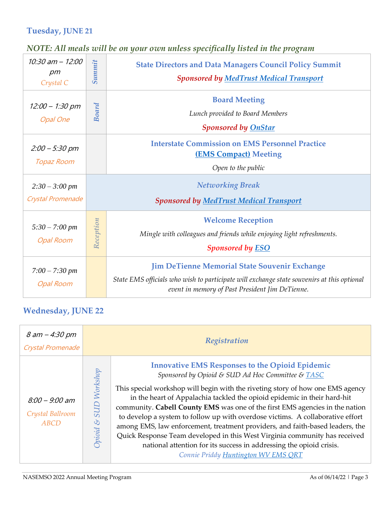### **Tuesday, JUNE 21**

## *NOTE: All meals will be on your own unless specifically listed in the program*

| $10:30$ am $- 12:00$<br>pm<br>Crystal C       | Summit    | <b>State Directors and Data Managers Council Policy Summit</b><br><b>Sponsored by MedTrust Medical Transport</b>             |  |  |
|-----------------------------------------------|-----------|------------------------------------------------------------------------------------------------------------------------------|--|--|
| $12:00 - 1:30$ pm<br><b>Opal One</b>          | Board     | <b>Board Meeting</b><br>Lunch provided to Board Members<br><b>Sponsored by OnStar</b>                                        |  |  |
| $2:00 - 5:30$ pm<br>Topaz Room                |           | <b>Interstate Commission on EMS Personnel Practice</b><br><b>(EMS Compact)</b> Meeting<br>Open to the public                 |  |  |
| $2:30 - 3:00 \text{ pm}$<br>Crystal Promenade |           | <b>Networking Break</b><br><b>Sponsored by MedTrust Medical Transport</b>                                                    |  |  |
|                                               |           | <b>Welcome Reception</b><br>Mingle with colleagues and friends while enjoying light refreshments.<br><b>Sponsored by ESO</b> |  |  |
| $5:30 - 7:00 \; pm$<br><b>Opal Room</b>       | Reception |                                                                                                                              |  |  |

## **Wednesday, JUNE 22**

| 8 am – 4:30 pm<br>Crystal Promenade          |                                               | Registration                                                                                                                                                                                                                                                                                                                                                                                                                                                                                                                                                                                                                                                                                                             |  |  |
|----------------------------------------------|-----------------------------------------------|--------------------------------------------------------------------------------------------------------------------------------------------------------------------------------------------------------------------------------------------------------------------------------------------------------------------------------------------------------------------------------------------------------------------------------------------------------------------------------------------------------------------------------------------------------------------------------------------------------------------------------------------------------------------------------------------------------------------------|--|--|
| $8:00 - 9:00$ am<br>Crystal Ballroom<br>ABCD | Workshop<br><b>ANS</b><br><u> 2</u><br>Dpioid | <b>Innovative EMS Responses to the Opioid Epidemic</b><br>Sponsored by Opioid & SUD Ad Hoc Committee & TASC<br>This special workshop will begin with the riveting story of how one EMS agency<br>in the heart of Appalachia tackled the opioid epidemic in their hard-hit<br>community. Cabell County EMS was one of the first EMS agencies in the nation<br>to develop a system to follow up with overdose victims. A collaborative effort<br>among EMS, law enforcement, treatment providers, and faith-based leaders, the<br>Quick Response Team developed in this West Virginia community has received<br>national attention for its success in addressing the opioid crisis.<br>Connie Priddy Huntington WV EMS QRT |  |  |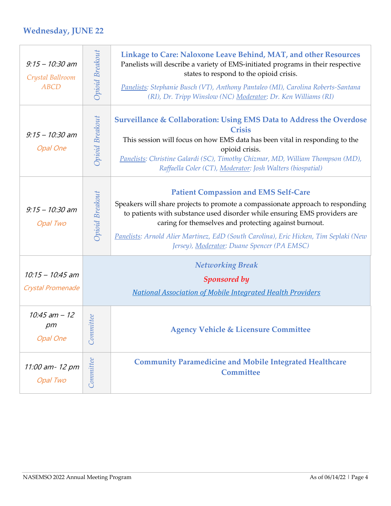## **Wednesday, JUNE 22**

| $9:15 - 10:30$ am<br>Crystal Ballroom<br><b>ABCD</b> | Opioid Breakout | Linkage to Care: Naloxone Leave Behind, MAT, and other Resources<br>Panelists will describe a variety of EMS-initiated programs in their respective<br>states to respond to the opioid crisis.<br>Panelists: Stephanie Busch (VT), Anthony Pantaleo (MI), Carolina Roberts-Santana<br>(RI), Dr. Tripp Winslow (NC) Moderator: Dr. Ken Williams (RI)                                                         |
|------------------------------------------------------|-----------------|-------------------------------------------------------------------------------------------------------------------------------------------------------------------------------------------------------------------------------------------------------------------------------------------------------------------------------------------------------------------------------------------------------------|
| $9:15 - 10:30$ am<br><b>Opal One</b>                 | Opioid Breakout | Surveillance & Collaboration: Using EMS Data to Address the Overdose<br><b>Crisis</b><br>This session will focus on how EMS data has been vital in responding to the<br>opioid crisis.<br>Panelists: Christine Galardi (SC), Timothy Chizmar, MD, William Thompson (MD),<br>Raffaella Coler (CT), Moderator: Josh Walters (biospatial)                                                                      |
| $9:15 - 10:30$ am<br>Opal Two                        | Opioid Breakout | <b>Patient Compassion and EMS Self-Care</b><br>Speakers will share projects to promote a compassionate approach to responding<br>to patients with substance used disorder while ensuring EMS providers are<br>caring for themselves and protecting against burnout.<br>Panelists: Arnold Alier Martinez, EdD (South Carolina), Eric Hicken, Tim Seplaki (New<br>Jersey), Moderator: Duane Spencer (PA EMSC) |
| $10:15 - 10:45$ am<br>Crystal Promenade              |                 | <b>Networking Break</b><br><b>Sponsored by</b><br><b>National Association of Mobile Integrated Health Providers</b>                                                                                                                                                                                                                                                                                         |
| $10:45$ am $-12$<br>$p$ m<br><b>Opal One</b>         | mittee<br>Com   | <b>Agency Vehicle &amp; Licensure Committee</b>                                                                                                                                                                                                                                                                                                                                                             |
| 11:00 am- 12 pm<br>Opal Two                          | Commitee        | <b>Community Paramedicine and Mobile Integrated Healthcare</b><br>Committee                                                                                                                                                                                                                                                                                                                                 |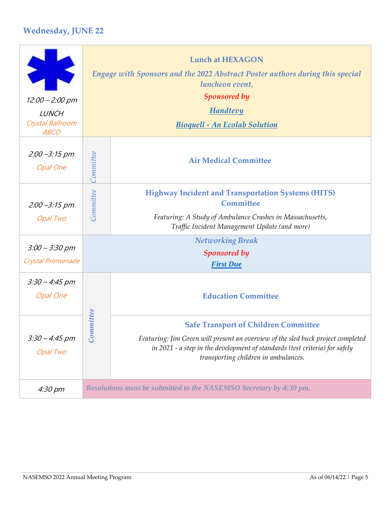## **Wednesday, JUNE 22**

| $12.00 - 2.00$ pm<br><b>LUNCH</b><br>Crystal Ballroom<br><b>ABCD</b> | <b>Lunch at HEXAGON</b><br>Engage with Sponsors and the 2022 Abstract Poster authors during this special<br>luncheon event.<br><b>Sponsored by</b><br><b>Handtevy</b><br><b>Bioquell - An Ecolab Solution</b> |                                                                                                                                                                                                                                                        |  |
|----------------------------------------------------------------------|---------------------------------------------------------------------------------------------------------------------------------------------------------------------------------------------------------------|--------------------------------------------------------------------------------------------------------------------------------------------------------------------------------------------------------------------------------------------------------|--|
| $2:00 - 3:15$ pm<br><b>Opal One</b>                                  | Commitee                                                                                                                                                                                                      | <b>Air Medical Committee</b>                                                                                                                                                                                                                           |  |
| $2:00 - 3:15$ pm<br>Opal Two                                         | <b>Committee</b>                                                                                                                                                                                              | <b>Highway Incident and Transportation Systems (HITS)</b><br>Committee<br>Featuring: A Study of Ambulance Crashes in Massachusetts,<br>Traffic Incident Management Update (and more)                                                                   |  |
| $3:00 - 3:30$ pm<br>Crystal Promenade                                |                                                                                                                                                                                                               | <b>Networking Break</b><br><b>Sponsored by</b><br><b>First Due</b>                                                                                                                                                                                     |  |
| $3:30 - 4:45$ pm<br><b>Opal One</b>                                  |                                                                                                                                                                                                               | <b>Education Committee</b>                                                                                                                                                                                                                             |  |
| $3:30 - 4:45$ pm<br><b>Opal Two</b>                                  | nmittee<br>$\tilde{co}$                                                                                                                                                                                       | <b>Safe Transport of Children Committee</b><br>Featuring: Jim Green will present an overview of the sled buck project completed<br>in 2021 - a step in the development of standards (test criteria) for safely<br>transporting children in ambulances. |  |
| 4:30 pm                                                              |                                                                                                                                                                                                               | Resolutions must be submitted to the NASEMSO Secretary by 4:30 pm.                                                                                                                                                                                     |  |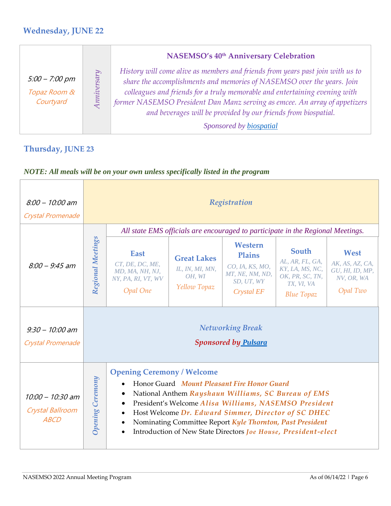### **Wednesday, JUNE 22**

|                                               |                      | <b>NASEMSO's 40th Anniversary Celebration</b>                                                                                                                                                                                                                                                                                                                                                                     |
|-----------------------------------------------|----------------------|-------------------------------------------------------------------------------------------------------------------------------------------------------------------------------------------------------------------------------------------------------------------------------------------------------------------------------------------------------------------------------------------------------------------|
| $5:00 - 7:00$ pm<br>Topaz Room &<br>Courtyard | A <sub>univers</sub> | History will come alive as members and friends from years past join with us to<br>share the accomplishments and memories of NASEMSO over the years. Join<br>colleagues and friends for a truly memorable and entertaining evening with<br>former NASEMSO President Dan Manz serving as emcee. An array of appetizers<br>and beverages will be provided by our friends from biospatial.<br>Sponsored by biospatial |

## **Thursday, JUNE 23**

| $8:00 - 10:00$ am<br>Crystal Promenade                |                         |                                                                                                                 |                                                                 | Registration                                                                                                                                                                                                                                                                                                                                                     |                                                                                                   |                                                                      |
|-------------------------------------------------------|-------------------------|-----------------------------------------------------------------------------------------------------------------|-----------------------------------------------------------------|------------------------------------------------------------------------------------------------------------------------------------------------------------------------------------------------------------------------------------------------------------------------------------------------------------------------------------------------------------------|---------------------------------------------------------------------------------------------------|----------------------------------------------------------------------|
|                                                       |                         |                                                                                                                 |                                                                 | All state EMS officials are encouraged to participate in the Regional Meetings.                                                                                                                                                                                                                                                                                  |                                                                                                   |                                                                      |
| $8:00 - 9:45$ am                                      | Regional Meetings       | <b>East</b><br>CT, DE, DC, ME,<br>MD, MA, NH, NJ,<br>NY, PA, RI, VT, WV<br>Opal One                             | <b>Great Lakes</b><br>IL, IN, MI, MN,<br>OH, WI<br>Yellow Topaz | Western<br><b>Plains</b><br>CO, IA, KS, MO,<br>MT, NE, NM, ND,<br>SD, UT, WY<br>Crystal EF                                                                                                                                                                                                                                                                       | South<br>AL, AR, FL, GA,<br>KY, LA, MS, NC,<br>OK, PR, SC, TN,<br>TX, VI, VA<br><b>Blue Topaz</b> | West<br>AK, AS, AZ, CA,<br>GU, HI, ID, MP,<br>NV, OR, WA<br>Opal Two |
| $9:30 - 10:00$ am<br>Crystal Promenade                |                         |                                                                                                                 |                                                                 | <b>Networking Break</b><br><b>Sponsored by Pulsara</b>                                                                                                                                                                                                                                                                                                           |                                                                                                   |                                                                      |
| $10:00 - 10:30$ am<br>Crystal Ballroom<br><b>ABCD</b> | <b>Opening Ceremony</b> | <b>Opening Ceremony / Welcome</b><br>$\bullet$<br>$\bullet$<br>$\bullet$<br>$\bullet$<br>$\bullet$<br>$\bullet$ |                                                                 | Honor Guard Mount Pleasant Fire Honor Guard<br>National Anthem Rayshaun Williams, SC Bureau of EMS<br>President's Welcome Alisa Williams, NASEMSO President<br>Host Welcome Dr. Edward Simmer, Director of SC DHEC<br>Nominating Committee Report Kyle Thornton, Past President<br>Introduction of New State Directors <i>Joe House</i> , <i>President-elect</i> |                                                                                                   |                                                                      |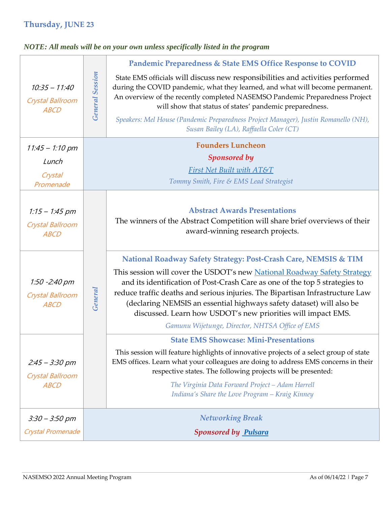## **Thursday, JUNE 23**

|         | Pandemic Preparedness & State EMS Office Response to COVID                                                                                                                                                                                                                                                                                                                                                                                                                                             |
|---------|--------------------------------------------------------------------------------------------------------------------------------------------------------------------------------------------------------------------------------------------------------------------------------------------------------------------------------------------------------------------------------------------------------------------------------------------------------------------------------------------------------|
|         | State EMS officials will discuss new responsibilities and activities performed<br>during the COVID pandemic, what they learned, and what will become permanent.<br>An overview of the recently completed NASEMSO Pandemic Preparedness Project<br>will show that status of states' pandemic preparedness.                                                                                                                                                                                              |
|         | Speakers: Mel House (Pandemic Preparedness Project Manager), Justin Romanello (NH),<br>Susan Bailey (LA), Raffaella Coler (CT)                                                                                                                                                                                                                                                                                                                                                                         |
|         | <b>Founders Luncheon</b>                                                                                                                                                                                                                                                                                                                                                                                                                                                                               |
|         | <b>Sponsored by</b>                                                                                                                                                                                                                                                                                                                                                                                                                                                                                    |
|         | <b>First Net Built with AT&amp;T</b>                                                                                                                                                                                                                                                                                                                                                                                                                                                                   |
|         | Tommy Smith, Fire & EMS Lead Strategist                                                                                                                                                                                                                                                                                                                                                                                                                                                                |
|         | <b>Abstract Awards Presentations</b><br>The winners of the Abstract Competition will share brief overviews of their<br>award-winning research projects.                                                                                                                                                                                                                                                                                                                                                |
| General | National Roadway Safety Strategy: Post-Crash Care, NEMSIS & TIM<br>This session will cover the USDOT's new National Roadway Safety Strategy<br>and its identification of Post-Crash Care as one of the top 5 strategies to<br>reduce traffic deaths and serious injuries. The Bipartisan Infrastructure Law<br>(declaring NEMSIS an essential highways safety dataset) will also be<br>discussed. Learn how USDOT's new priorities will impact EMS.<br>Gamunu Wijetunge, Director, NHTSA Office of EMS |
|         | <b>State EMS Showcase: Mini-Presentations</b><br>This session will feature highlights of innovative projects of a select group of state<br>EMS offices. Learn what your colleagues are doing to address EMS concerns in their<br>respective states. The following projects will be presented:<br>The Virginia Data Forward Project - Adam Harrell<br>Indiana's Share the Love Program - Kraig Kinney                                                                                                   |
|         | <b>Networking Break</b>                                                                                                                                                                                                                                                                                                                                                                                                                                                                                |
|         | <b>Sponsored by Pulsara</b>                                                                                                                                                                                                                                                                                                                                                                                                                                                                            |
|         | <b>General Session</b>                                                                                                                                                                                                                                                                                                                                                                                                                                                                                 |